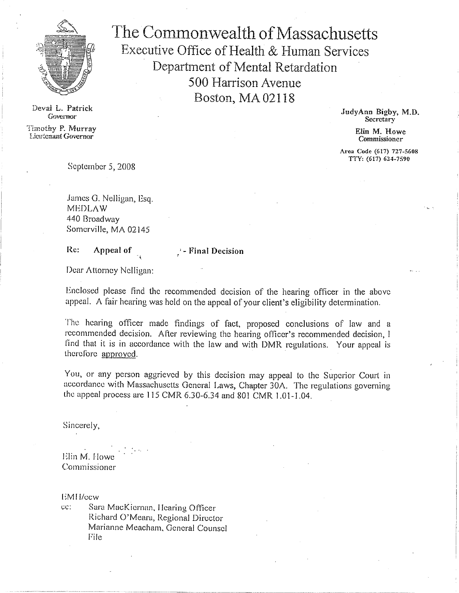

Deval L. Patrick Governor

Timothy P. Murray **Lientenant Governor** 

The Commonwealth of Massachusetts Executive Office of Health & Human Services Department of Mental Retardation 500 Harrison Avenue Boston, MA 02118

> JudyAnn Rigby, M.D. Secretary

> > Elin M. Howe Commissioner

Area Code (617) 727-5608 TTY: (617) 624-7590

September 5, 2008

James G. Nelligan, Esq. **MEDLAW** 440 Broadway Somerville, MA 02145

### $\text{Re:}$  Appeal of  $\rightarrow$  Final Decision

Dear Attorney Nelligan:

!inclosed please find the recommended decision of the hearing officer in the above appeal. A fair hearing was held on the appeal of your client's eligibility determination.

The hearing officer made findings of fact, proposed conclusions of law and a recommended decision. Alter reviewing the hearing officer's recommended decision, <sup>I</sup> find that it is in accordance with the law and with DMR regulations. Your appeal is therefore approved.

You, or any person aggrieved by this decision may appeal to the Superior Court in accordance with Massachusetts General Laws, Chapter 30A. The regulations governing the appeal process are 115 CMR 6.30-6.34 and 801 CMR 1.01-1.04.

Sincerely,

HIM M. Howe Commissioner

1:MH/ecw<br>cc: Sar

Sara MacKiernan, Hearing Officer Richard O'Meara, Regional Director Marianne Meacham, General Counsel File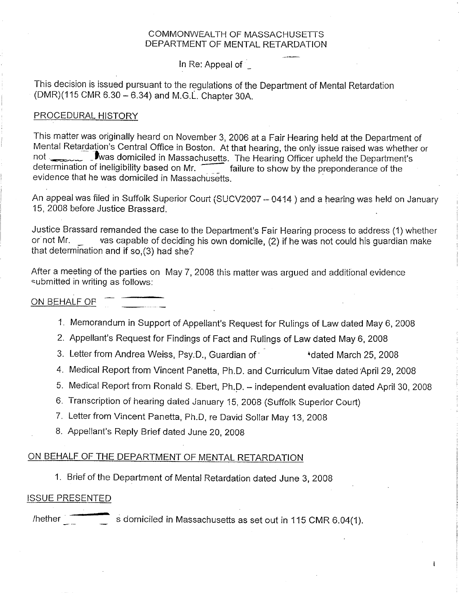### COMMONWEALTH OF MASSACHUSETTS DEPARTMENT OF MENTAL RETARDATION

In Re: Appeal of

This decision is issued pursuant to the regulations of the Department of Mental Retardation (DMR)(115 CMR 6.30 — 6.34) and M.G.L. Chapter 30A.

### PROCEDURAL HISTORY

This matter was originally heard on November 3, 2006 at a Fair Hearing held at the Department of Mental Retardation's Central Office in Boston. At that hearing, the only issue raised was whether or not **I**Was domiciled in Massachusetts. The Hearing Officer upheld the Department's determination of ineligibility based on Mr. **Fig. 1** failure to show by the preponderance of the evidence that he was domiciled in Massachusetts.

An appeal was filed in Suffolk Superior Court (SUCV2007 — 0414) and a hearing was held on January 15, 2008 before Justice Brassard.

Justice Brassard remanded the case to the Department's Fair Hearing process to address (1) whether or not Mr. vas capable of deciding his own domicile, (2) if he was not could his guardian make that determination and if so,(3) had she?

After a meeting of the parties on May 7, 2008 this matter was argued and additional evidence submitted in writing as follows:

## ON BEHALF OF

- 1. Memorandum in Support of Appellant's Request for Rulings of Law dated May 6, 2008
- 2. Appellant's Request for Findings of Fact and Rulings of Law dated May 6, 2008
- 3. Letter from Andrea Weiss, Psy.D., Guardian of ' 'dated March 25, 2008
- 4. Medical Report from Vincent Panetta, Ph.D. and Curriculum Vitae dated April 29, 2008
- 5. Medical Report from Ronald S. Ebert, Ph.D. independent evaluation dated April 30, 2008

 $\mathbf{I}$ 

- 6. Transcription of hearing dated January 15, 2008 (Suffolk Superior Court)
- 7. Letter from Vincent Panetta, Ph.D, re David Sollar May 13, 2008
- 8. Appellant's Reply Brief dated June 20, 2008

# ON BEHALF OF THE DEPARTMENT OF MENTAL RETARDATION

1. Brief of the Department of Mental Retardation dated June 3, 2008

### ISSUE PRESENTED

/hether s domiciled in Massachusetts as set out in 115 CMR 6.04(1).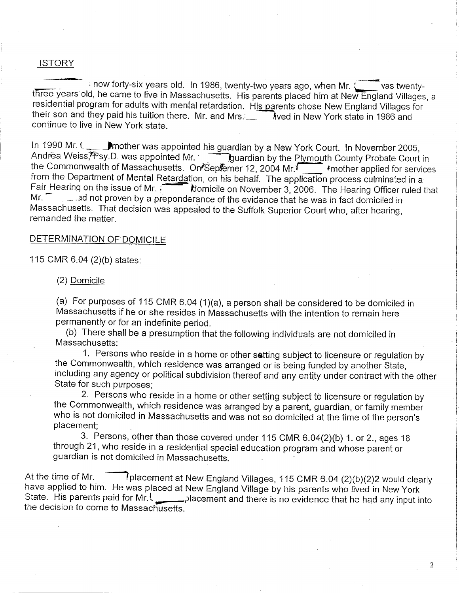### ISTORY

 $\frac{1}{2}$  now forty-six years old. In 1986, twenty-two years ago, when Mr.  $\sqrt{2}$  vas twentythree years old, he came to live in Massachusetts. His parents placed him at New England Villages, a residential program for adults with mental retardation. His parents chose New England Villages for their son and they paid his tuition there. Mr. and Mrs. **Kill** Mew York state in 1986 and continue to live in New York state.

In 1990 Mr.  $\zeta$  Mmother was appointed his guardian by a New York Court. In November 2005, Andrea Weiss, Psy.D. was appointed Mr. **The Duardian by the Plymouth County Probate Court in** the Commonwealth of Massachusetts. On Septemer 12, 2004 Mr.  $\sqrt{\phantom{a}}$  \*mother applied for services from the Department of Mental Retardation, on his behalf. The application process culminated in a<br>Fair Hearing on the issue of Mr. **Romicile on November 3, 2006. The Hearing Officer ruled that** Mr.  $\Box$  . 3d not proven by a preponderance of the evidence that he was in fact domiciled in Massachusetts. That decision was appealed to the Suffolk Superior Court who, after hearing, remanded the matter.

#### DETERMINATION OF DOMICILE

115 CMR 6.04 (2)(b) states:

(2) Domicile

(a) For purposes of 115 CMR 6.04 (1)(a), a person shall be considered to be domiciled in Massachusetts if he or she resides in Massachusetts with the intention to remain here permanently or for an indefinite period.

(b) There shall be a presumption that the following individuals are not domiciled in Massachusetts:

1. Persons who reside in a home or other setting subject to licensure or regulation by the Commonwealth, which residence was arranged or is being funded by another State, including any agency or political subdivision thereof and any entity under contract with the other State for such purposes;

2. Persons who reside in a home or other setting subject to licensure or regulation by the Commonwealth, which residence was arranged by a parent, guardian, or family member who is not domiciled in Massachusetts and was not so domiciled at the time of the person's placement;

3. Persons, other than those covered under 115 CMR 6.04(2)(b) 1. or 2., ages 18 through 21, who reside in a residential special education program and whose parent or guardian is not domiciled in Massachusetts.

At the time of Mr. **The Integration At New England Villages, 115 CMR 6.04 (2)(b)(2)2 would clearly** have applied to him. He was placed at New England Village by his parents who lived in New York State. His parents paid for Mr.( placement and there is no evidence that he had any input into the decision to come to Massachusetts.

7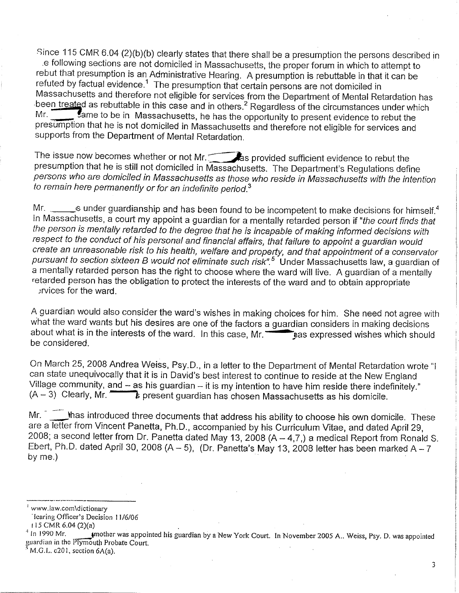Since 115 CMR 6.04 (2)(b)(b) clearly states that there shall be a presumption the persons described in .e following sections are not domiciled in Massachusetts, the proper forum in which to attempt to rebut that presumption is an Administrative Hearing. A presumption is rebuttable in that it can be refuted by factual evidence.<sup>1</sup> The presumption that certain persons are not domiciled in Massachusetts and therefore not eligible for services from the Department of Mental Retardation has been treated as rebuttable in this case and in others.<sup>2</sup> Regardless of the circumstances under which  $Mr.$  Same to be in Massachusetts, he has the opportunity to procent ovidence to rebut the Tame to be in Massachusetts, he has the opportunity to present evidence to rebut the presumption that he is not domiciled in Massachusetts and therefore not eligible for services and supports from the Department of Mental Retardation.

The issue now becomes whether or not Mr. **The lines provided sufficient evidence to rebut the** presumption that he is still not domiciled in Massachusetts. The Department's Regulations define persons who are domiciled in Massachusetts as those who reside in Massachusetts with the intention to remain here permanently or for an indefinite period.<sup>3</sup>

Mr. \_\_\_\_\_\_\_\_s under guardianship and has been found to be incompetent to make decisions for himself.<sup>4</sup> In Massachusetts, a court my appoint a guardian for a mentally retarded person if "the court finds that the person is mentally retarded to the degree that he is incapable of making informed decisions with respect to the conduct of his personal and financial affairs, that failure to appoint a guardian would create an unreasonable risk to his health, welfare and property, and that appointment of a conservator pursuant to section sixteen B would not eliminate such risk".<sup>5</sup> Under Massachusetts law, a guardian of a mentally retarded person has the right to choose where the ward will live. A guardian of a mentally retarded person has the obligation to protect the interests of the ward and to obtain appropriate )rvices for the ward.

A guardian would also consider the ward's wishes in making choices for him. She need not agree with what the ward wants but his desires are one of the factors a guardian considers in making decisions<br>about what is in the interests of the ward. In this case, Mr. The making should should be considered.

On March 25, 2008 Andrea Weiss, Psy.D., in a letter to the Department of Mental Retardation wrote "I can state unequivocally that it is in David's best interest to continue to reside at the New England Village community, and – as his guardian – it is my intention to have him reside there indefinitely."<br>(A – 3) Clearly, Mr.  $\bullet$  present quardian has chosen Massachusetts as his domicile  $\overline{\phantom{a}}$  present guardian has chosen Massachusetts as his domicile.

Mr. Thas introduced three documents that address his ability to choose his own domicile. These are a letter from Vincent Panetta, Ph.D., accompanied by his Curriculum Vitae, and dated April 29, 2008; a second letter from Dr. Panetta dated May 13, 2008 (A — 4,7,) a medical Report from Ronald S. Ebert, Ph.D. dated April 30, 2008 (A - 5), (Dr. Panetta's May 13, 2008 letter has been marked A - 7 by me.)

www.law.com\dictionary

Icaring Officer's Decision 11/6/06

<sup>115</sup> CMR 6.04 (2)(a)<br>In 1990 Mr.

In 1990 Mr. Suppose the was appointed his guardian by a New York Court. In November 2005 A.. Weiss, Psy. D. was appointed uardian in the Plymouth Probate Court.

 $M.G.L. c201$ , section  $6A(a)$ .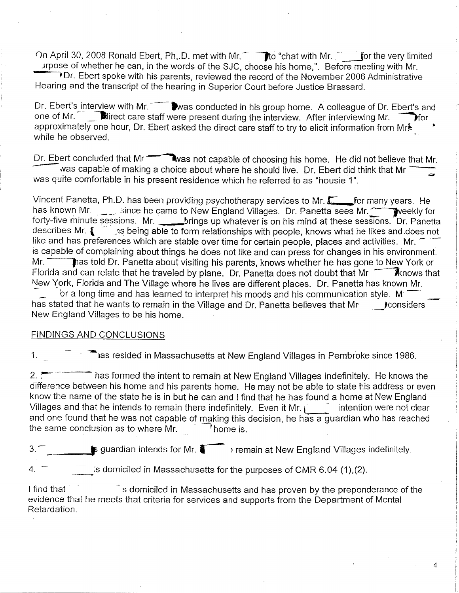On April 30, 2008 Ronald Ebert, Ph, D. met with Mr. **The "chat with Mr. The for the very limited"** Jrpose of whether he can, in the words of the SJC, choose his home,". Before meeting with Mr. >Dr. Ebert spoke with his parents, reviewed the record of the November 2006 Administrative Hearing and the transcript of the hearing in Superior Court before Justice Brassard.

Dr. Ebert's interview with Mr. 'was conducted in his group home. A colleague of Dr. Ebert's and one of Mr. \_**d**irect care staff were present during the interview. After interviewing Mr. ----"\*Pfor approximately one hour, Dr. Ebert asked the direct care staff to try to elicit information from Mr. while he observed.

Dr. Ebert concluded that Mr Was not capable of choosing his home. He did not believe that Mr. was capable of making a choice about where he should live. Dr. Ebert did think that Mr was quite comfortable in his present residence which he referred to as "housie 1".

Vincent Panetta, Ph.D. has been providing psychotherapy services to Mr.  $\sqrt{C}$  for many years. He has known Mr since he came to New England Villages. Dr. Panetta sees Mr. Weekly for forty-five minute sessions. Mr. **\_\_\_\_\_\_\_**brings up whatever is on his mind at these sessions. Dr. Panetta describes Mr.  $\left\{ \begin{array}{c} \begin{array}{c} \begin{array}{c} \end{array} \end{array} \right\}$  as being able to form relationships with people, knows what he likes and does not like and has preferences which are stable over time for certain people, places and activities. Mr. is capable of complaining about things he does not like and can press for changes in his environment.<br>Mr. Thas told Dr. Panetta about visiting his parents, knows whether he has gone to New York or Mr. Thas told Dr. Panetta about visiting his parents, knows whether he has gone to New York or<br>Florida and can relate that he traveled by plane. Dr. Panetta does not doubt that Mr **Whows** that New York, Florida and The Village where he lives are different places. Dr. Panetta has known Mr.<br>- The long time and bas lasmed to intermet his more to contain a superiorism style. Mr.

or a long time and has learned to interpret his moods and his communication style.  $\,$  M  $^{-}$ has stated that he willage where he lives are different places. Dr. Panetta has known Mr.<br>That is communication style. Mr and that he wants to remain in the Village and Dr. Panetta believes that Mr, sconsiders<br>New England New England Villages to be his home.

### FINDINGS AND CONCLUSIONS

1. **In the Tas resided in Massachusetts at New England Villages in Pembroke since 1986.** 

2. **has formed the intent to remain at New England Villages indefinitely.** He knows the difference between his home and his parents home. He may not be able to state his address or even know the name of the state he is in but he can and I find that he has found a home at New England Villages and that he intends to remain there indefinitely. Even it Mr.  $\check{\mathfrak{l}}$  intention were not clear and one found that he was not capable of making this decision, he has a guardian who has reached the same conclusion as to where Mr.  $\Box$ home is.

 $\bullet$  guardian intends for Mr.  $\bullet$  remain at New England Villages indefinitely.

 $\overline{a}$  is domiciled in Massachusetts for the purposes of CMR 6.04 (1),(2).

I find that  $\overline{\phantom{a}}$  is domiciled in Massachusetts and has proven by the preponderance of the evidence that he meets that criteria for services and supports from the Department of Mental Retardation.